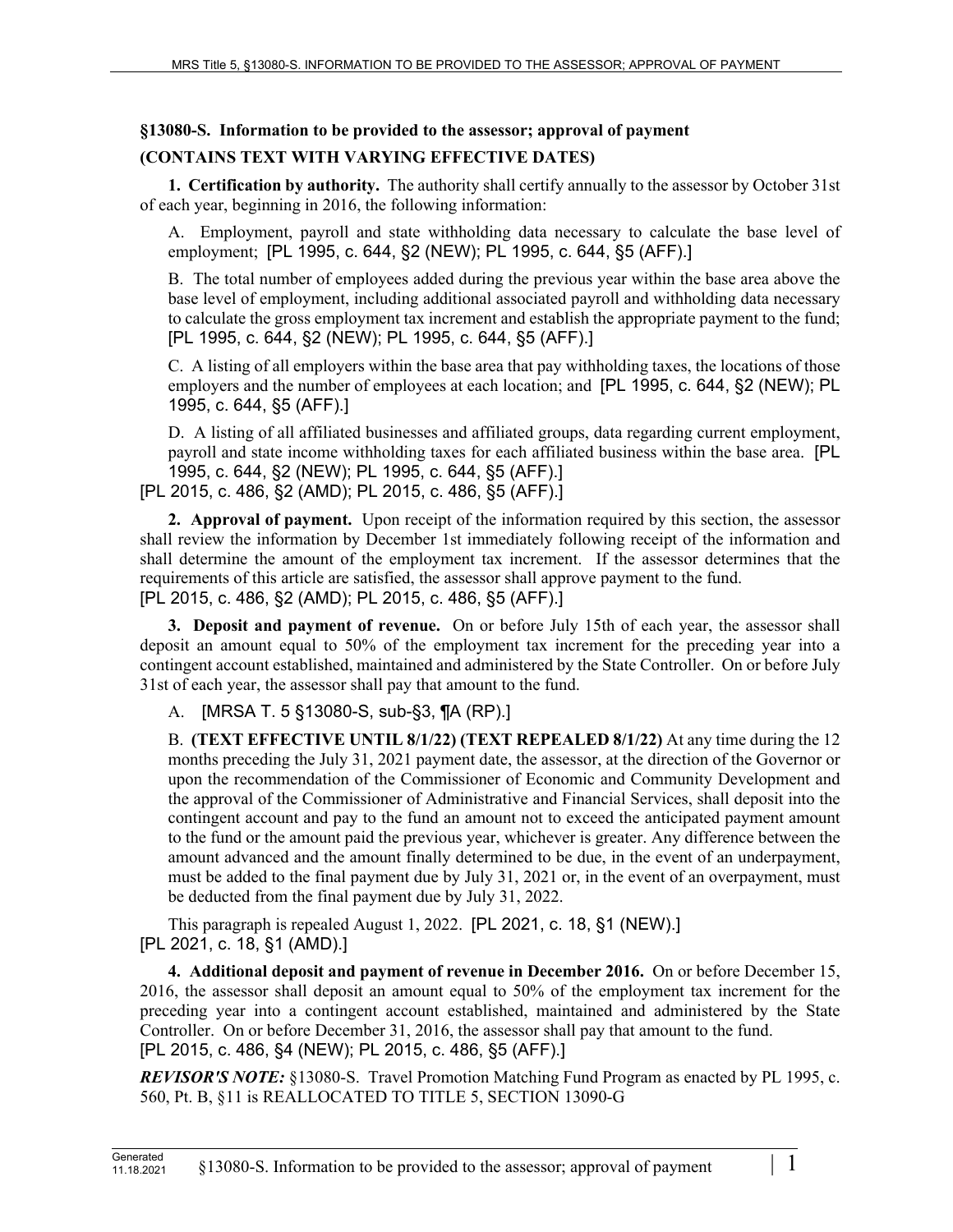## **§13080-S. Information to be provided to the assessor; approval of payment**

## **(CONTAINS TEXT WITH VARYING EFFECTIVE DATES)**

**1. Certification by authority.** The authority shall certify annually to the assessor by October 31st of each year, beginning in 2016, the following information:

A. Employment, payroll and state withholding data necessary to calculate the base level of employment; [PL 1995, c. 644, §2 (NEW); PL 1995, c. 644, §5 (AFF).]

B. The total number of employees added during the previous year within the base area above the base level of employment, including additional associated payroll and withholding data necessary to calculate the gross employment tax increment and establish the appropriate payment to the fund; [PL 1995, c. 644, §2 (NEW); PL 1995, c. 644, §5 (AFF).]

C. A listing of all employers within the base area that pay withholding taxes, the locations of those employers and the number of employees at each location; and [PL 1995, c. 644, §2 (NEW); PL 1995, c. 644, §5 (AFF).]

D. A listing of all affiliated businesses and affiliated groups, data regarding current employment, payroll and state income withholding taxes for each affiliated business within the base area. [PL 1995, c. 644, §2 (NEW); PL 1995, c. 644, §5 (AFF).] [PL 2015, c. 486, §2 (AMD); PL 2015, c. 486, §5 (AFF).]

**2. Approval of payment.** Upon receipt of the information required by this section, the assessor shall review the information by December 1st immediately following receipt of the information and shall determine the amount of the employment tax increment. If the assessor determines that the requirements of this article are satisfied, the assessor shall approve payment to the fund. [PL 2015, c. 486, §2 (AMD); PL 2015, c. 486, §5 (AFF).]

**3. Deposit and payment of revenue.** On or before July 15th of each year, the assessor shall deposit an amount equal to 50% of the employment tax increment for the preceding year into a contingent account established, maintained and administered by the State Controller. On or before July 31st of each year, the assessor shall pay that amount to the fund.

A. [MRSA T. 5 §13080-S, sub-§3, ¶A (RP).]

B. **(TEXT EFFECTIVE UNTIL 8/1/22) (TEXT REPEALED 8/1/22)** At any time during the 12 months preceding the July 31, 2021 payment date, the assessor, at the direction of the Governor or upon the recommendation of the Commissioner of Economic and Community Development and the approval of the Commissioner of Administrative and Financial Services, shall deposit into the contingent account and pay to the fund an amount not to exceed the anticipated payment amount to the fund or the amount paid the previous year, whichever is greater. Any difference between the amount advanced and the amount finally determined to be due, in the event of an underpayment, must be added to the final payment due by July 31, 2021 or, in the event of an overpayment, must be deducted from the final payment due by July 31, 2022.

This paragraph is repealed August 1, 2022. [PL 2021, c. 18, §1 (NEW).] [PL 2021, c. 18, §1 (AMD).]

**4. Additional deposit and payment of revenue in December 2016.** On or before December 15, 2016, the assessor shall deposit an amount equal to 50% of the employment tax increment for the preceding year into a contingent account established, maintained and administered by the State Controller. On or before December 31, 2016, the assessor shall pay that amount to the fund. [PL 2015, c. 486, §4 (NEW); PL 2015, c. 486, §5 (AFF).]

*REVISOR'S NOTE:* §13080-S. Travel Promotion Matching Fund Program as enacted by PL 1995, c. 560, Pt. B, §11 is REALLOCATED TO TITLE 5, SECTION 13090-G